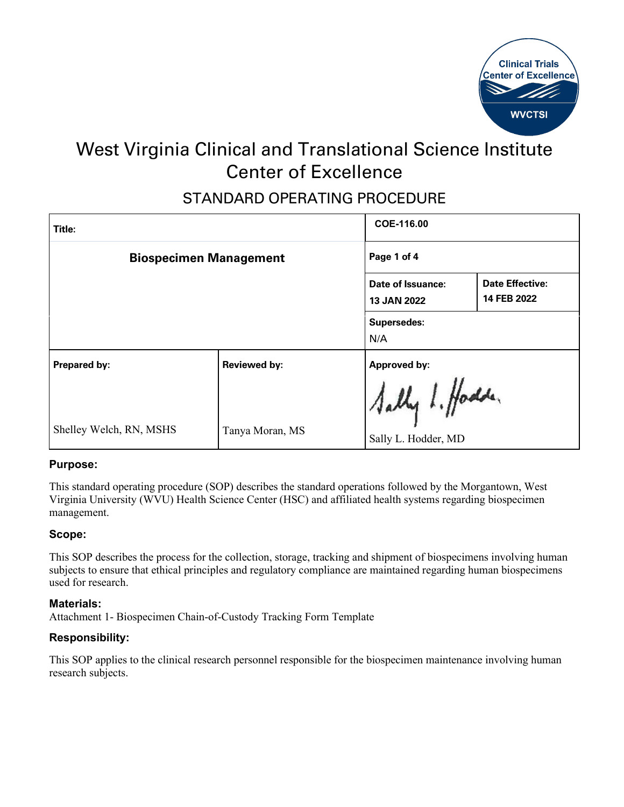

# West Virginia Clinical and Translational Science Institute Center of Excellence

# STANDARD OPERATING PROCEDURE

| Title:<br><b>Biospecimen Management</b> |                     | COE-116.00                              |                                       |  |
|-----------------------------------------|---------------------|-----------------------------------------|---------------------------------------|--|
|                                         |                     | Page 1 of 4                             |                                       |  |
|                                         |                     | Date of Issuance:<br><b>13 JAN 2022</b> | <b>Date Effective:</b><br>14 FEB 2022 |  |
|                                         |                     | <b>Supersedes:</b><br>N/A               |                                       |  |
| <b>Prepared by:</b>                     | <b>Reviewed by:</b> | <b>Approved by:</b>                     | Sally 1. Hodde.                       |  |
| Shelley Welch, RN, MSHS                 | Tanya Moran, MS     |                                         | Sally L. Hodder, MD                   |  |

# **Purpose:**

This standard operating procedure (SOP) describes the standard operations followed by the Morgantown, West Virginia University (WVU) Health Science Center (HSC) and affiliated health systems regarding biospecimen management.

# **Scope:**

This SOP describes the process for the collection, storage, tracking and shipment of biospecimens involving human subjects to ensure that ethical principles and regulatory compliance are maintained regarding human biospecimens used for research.

# **Materials:**

Attachment 1- Biospecimen Chain-of-Custody Tracking Form Template

# **Responsibility:**

This SOP applies to the clinical research personnel responsible for the biospecimen maintenance involving human research subjects.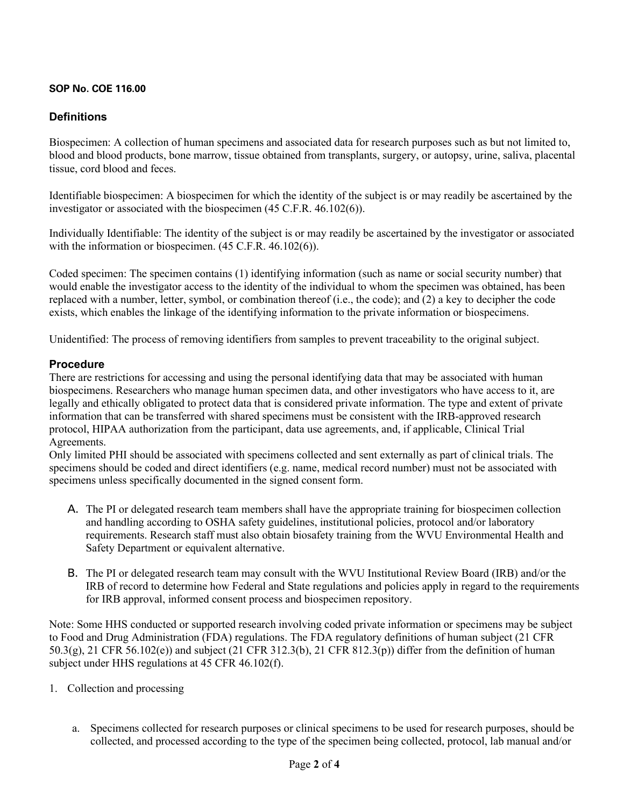#### **SOP No. COE 116.00**

### **Definitions**

Biospecimen: A collection of human specimens and associated data for research purposes such as but not limited to, blood and blood products, bone marrow, tissue obtained from transplants, surgery, or autopsy, urine, saliva, placental tissue, cord blood and feces.

Identifiable biospecimen: A biospecimen for which the identity of the subject is or may readily be ascertained by the investigator or associated with the biospecimen (45 C.F.R. 46.102(6)).

Individually Identifiable: The identity of the subject is or may readily be ascertained by the investigator or associated with the information or biospecimen. (45 C.F.R. 46.102(6)).

Coded specimen: The specimen contains (1) identifying information (such as name or social security number) that would enable the investigator access to the identity of the individual to whom the specimen was obtained, has been replaced with a number, letter, symbol, or combination thereof (i.e., the code); and (2) a key to decipher the code exists, which enables the linkage of the identifying information to the private information or biospecimens.

Unidentified: The process of removing identifiers from samples to prevent traceability to the original subject.

#### **Procedure**

There are restrictions for accessing and using the personal identifying data that may be associated with human biospecimens. Researchers who manage human specimen data, and other investigators who have access to it, are legally and ethically obligated to protect data that is considered private information. The type and extent of private information that can be transferred with shared specimens must be consistent with the IRB-approved research protocol, HIPAA authorization from the participant, data use agreements, and, if applicable, Clinical Trial Agreements.

Only limited PHI should be associated with specimens collected and sent externally as part of clinical trials. The specimens should be coded and direct identifiers (e.g. name, medical record number) must not be associated with specimens unless specifically documented in the signed consent form.

- A. The PI or delegated research team members shall have the appropriate training for biospecimen collection and handling according to OSHA safety guidelines, institutional policies, protocol and/or laboratory requirements. Research staff must also obtain biosafety training from the WVU Environmental Health and Safety Department or equivalent alternative.
- B. The PI or delegated research team may consult with the WVU Institutional Review Board (IRB) and/or the IRB of record to determine how Federal and State regulations and policies apply in regard to the requirements for IRB approval, informed consent process and biospecimen repository.

Note: Some HHS conducted or supported research involving coded private information or specimens may be subject to Food and Drug Administration (FDA) regulations. The FDA regulatory definitions of human subject (21 CFR 50.3(g), 21 CFR 56.102(e)) and subject (21 CFR 312.3(b), 21 CFR 812.3(p)) differ from the definition of human subject under HHS regulations at 45 CFR 46.102(f).

- 1. Collection and processing
	- a. Specimens collected for research purposes or clinical specimens to be used for research purposes, should be collected, and processed according to the type of the specimen being collected, protocol, lab manual and/or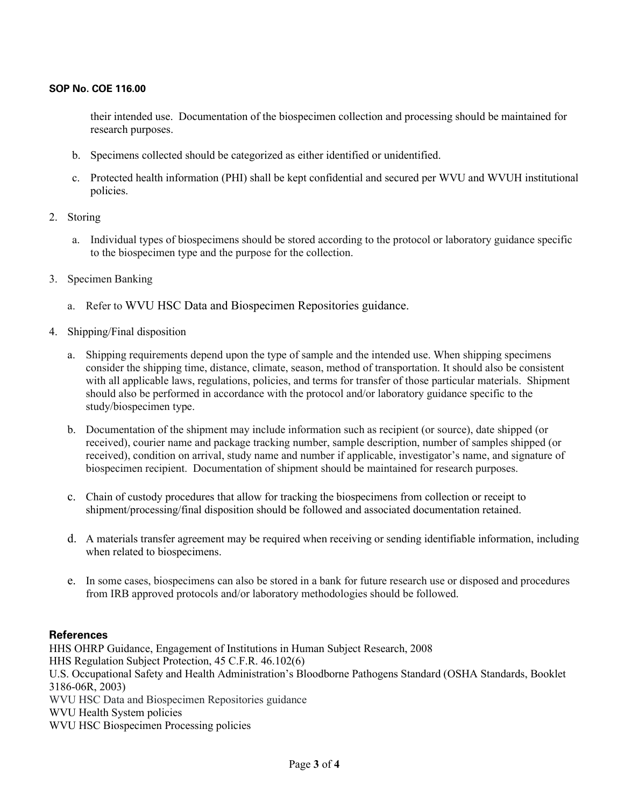#### **SOP No. COE 116.00**

their intended use. Documentation of the biospecimen collection and processing should be maintained for research purposes.

- b. Specimens collected should be categorized as either identified or unidentified.
- c. Protected health information (PHI) shall be kept confidential and secured per WVU and WVUH institutional policies.
- 2. Storing
	- a. Individual types of biospecimens should be stored according to the protocol or laboratory guidance specific to the biospecimen type and the purpose for the collection.
- 3. Specimen Banking
	- a. Refer to WVU HSC Data and Biospecimen Repositories guidance.
- 4. Shipping/Final disposition
	- a. Shipping requirements depend upon the type of sample and the intended use. When shipping specimens consider the shipping time, distance, climate, season, method of transportation. It should also be consistent with all applicable laws, regulations, policies, and terms for transfer of those particular materials. Shipment should also be performed in accordance with the protocol and/or laboratory guidance specific to the study/biospecimen type.
	- b. Documentation of the shipment may include information such as recipient (or source), date shipped (or received), courier name and package tracking number, sample description, number of samples shipped (or received), condition on arrival, study name and number if applicable, investigator's name, and signature of biospecimen recipient. Documentation of shipment should be maintained for research purposes.
	- c. Chain of custody procedures that allow for tracking the biospecimens from collection or receipt to shipment/processing/final disposition should be followed and associated documentation retained.
	- d. A materials transfer agreement may be required when receiving or sending identifiable information, including when related to biospecimens.
	- e. In some cases, biospecimens can also be stored in a bank for future research use or disposed and procedures from IRB approved protocols and/or laboratory methodologies should be followed.

#### **References**

HHS OHRP Guidance, Engagement of Institutions in Human Subject Research, 2008 HHS Regulation Subject Protection, 45 C.F.R. 46.102(6) U.S. Occupational Safety and Health Administration's Bloodborne Pathogens Standard (OSHA Standards, Booklet 3186-06R, 2003) WVU HSC Data and Biospecimen Repositories guidance WVU Health System policies WVU HSC Biospecimen Processing policies